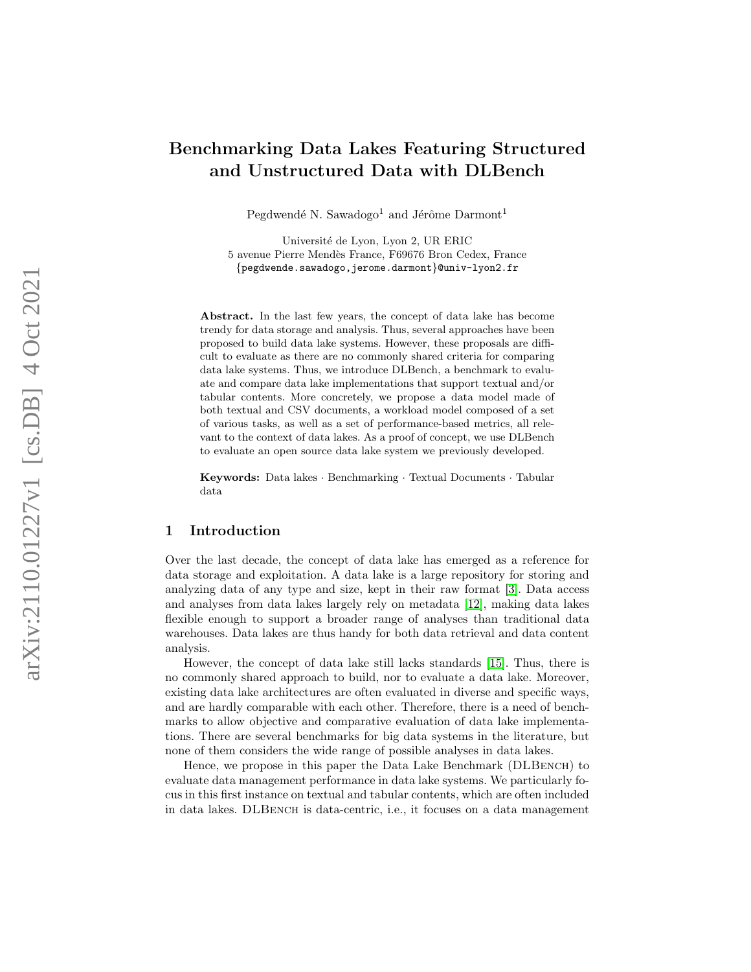# Benchmarking Data Lakes Featuring Structured and Unstructured Data with DLBench

Pegdwendé N. Sawadogo<sup>1</sup> and Jérôme Darmont<sup>1</sup>

Université de Lyon, Lyon 2, UR ERIC 5 avenue Pierre Mend`es France, F69676 Bron Cedex, France {pegdwende.sawadogo,jerome.darmont}@univ-lyon2.fr

Abstract. In the last few years, the concept of data lake has become trendy for data storage and analysis. Thus, several approaches have been proposed to build data lake systems. However, these proposals are difficult to evaluate as there are no commonly shared criteria for comparing data lake systems. Thus, we introduce DLBench, a benchmark to evaluate and compare data lake implementations that support textual and/or tabular contents. More concretely, we propose a data model made of both textual and CSV documents, a workload model composed of a set of various tasks, as well as a set of performance-based metrics, all relevant to the context of data lakes. As a proof of concept, we use DLBench to evaluate an open source data lake system we previously developed.

Keywords: Data lakes · Benchmarking · Textual Documents · Tabular data

## 1 Introduction

Over the last decade, the concept of data lake has emerged as a reference for data storage and exploitation. A data lake is a large repository for storing and analyzing data of any type and size, kept in their raw format [\[3\]](#page-10-0). Data access and analyses from data lakes largely rely on metadata [\[12\]](#page-11-0), making data lakes flexible enough to support a broader range of analyses than traditional data warehouses. Data lakes are thus handy for both data retrieval and data content analysis.

However, the concept of data lake still lacks standards [\[15\]](#page-11-1). Thus, there is no commonly shared approach to build, nor to evaluate a data lake. Moreover, existing data lake architectures are often evaluated in diverse and specific ways, and are hardly comparable with each other. Therefore, there is a need of benchmarks to allow objective and comparative evaluation of data lake implementations. There are several benchmarks for big data systems in the literature, but none of them considers the wide range of possible analyses in data lakes.

Hence, we propose in this paper the Data Lake Benchmark (DLBench) to evaluate data management performance in data lake systems. We particularly focus in this first instance on textual and tabular contents, which are often included in data lakes. DLBENCH is data-centric, i.e., it focuses on a data management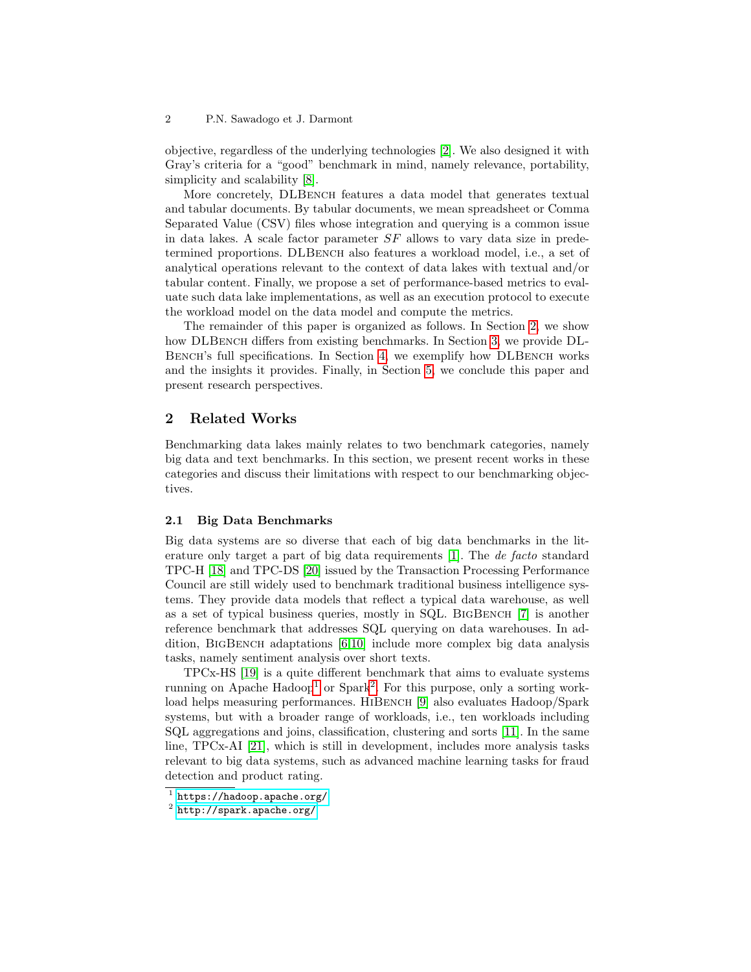objective, regardless of the underlying technologies [\[2\]](#page-10-1). We also designed it with Gray's criteria for a "good" benchmark in mind, namely relevance, portability, simplicity and scalability [\[8\]](#page-10-2).

More concretely, DLBENCH features a data model that generates textual and tabular documents. By tabular documents, we mean spreadsheet or Comma Separated Value (CSV) files whose integration and querying is a common issue in data lakes. A scale factor parameter  $SF$  allows to vary data size in predetermined proportions. DLBench also features a workload model, i.e., a set of analytical operations relevant to the context of data lakes with textual and/or tabular content. Finally, we propose a set of performance-based metrics to evaluate such data lake implementations, as well as an execution protocol to execute the workload model on the data model and compute the metrics.

The remainder of this paper is organized as follows. In Section [2,](#page-1-0) we show how DLBENCH differs from existing benchmarks. In Section [3,](#page-2-0) we provide DL-Bench's full specifications. In Section [4,](#page-7-0) we exemplify how DLBench works and the insights it provides. Finally, in Section [5,](#page-8-0) we conclude this paper and present research perspectives.

## <span id="page-1-0"></span>2 Related Works

Benchmarking data lakes mainly relates to two benchmark categories, namely big data and text benchmarks. In this section, we present recent works in these categories and discuss their limitations with respect to our benchmarking objectives.

#### 2.1 Big Data Benchmarks

Big data systems are so diverse that each of big data benchmarks in the literature only target a part of big data requirements [\[1\]](#page-9-0). The de facto standard TPC-H [\[18\]](#page-11-2) and TPC-DS [\[20\]](#page-11-3) issued by the Transaction Processing Performance Council are still widely used to benchmark traditional business intelligence systems. They provide data models that reflect a typical data warehouse, as well as a set of typical business queries, mostly in SQL. BIGBENCH [\[7\]](#page-10-3) is another reference benchmark that addresses SQL querying on data warehouses. In addition, BigBench adaptations [\[6](#page-10-4)[,10\]](#page-10-5) include more complex big data analysis tasks, namely sentiment analysis over short texts.

TPCx-HS [\[19\]](#page-11-4) is a quite different benchmark that aims to evaluate systems running on Apache Hadoop<sup>[1](#page-1-1)</sup> or Spark<sup>[2](#page-1-2)</sup>. For this purpose, only a sorting work-load helps measuring performances. HIBENCH [\[9\]](#page-10-6) also evaluates Hadoop/Spark systems, but with a broader range of workloads, i.e., ten workloads including SQL aggregations and joins, classification, clustering and sorts [\[11\]](#page-11-5). In the same line, TPCx-AI [\[21\]](#page-11-6), which is still in development, includes more analysis tasks relevant to big data systems, such as advanced machine learning tasks for fraud detection and product rating.

<span id="page-1-1"></span> $^{\rm 1}$  <https://hadoop.apache.org/>

<span id="page-1-2"></span> $^2$  <http://spark.apache.org/>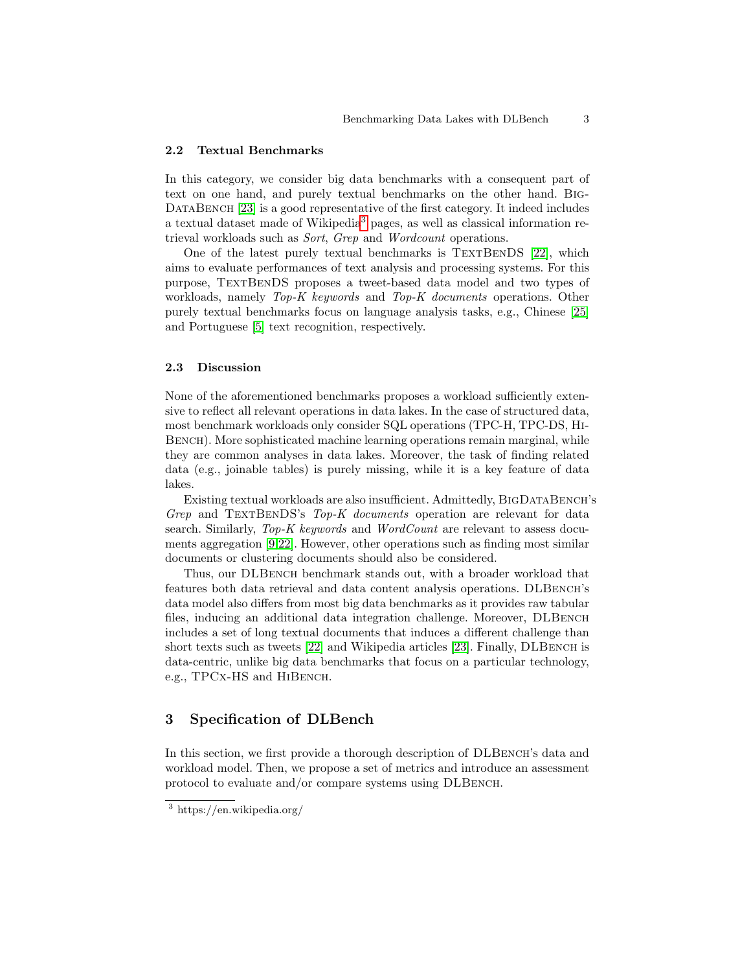#### 2.2 Textual Benchmarks

In this category, we consider big data benchmarks with a consequent part of text on one hand, and purely textual benchmarks on the other hand. Big-DATABENCH [\[23\]](#page-11-7) is a good representative of the first category. It indeed includes a textual dataset made of Wikipedia[3](#page-2-1) pages, as well as classical information retrieval workloads such as Sort, Grep and Wordcount operations.

One of the latest purely textual benchmarks is TEXTBENDS [\[22\]](#page-11-8), which aims to evaluate performances of text analysis and processing systems. For this purpose, TEXTBENDS proposes a tweet-based data model and two types of workloads, namely Top-K keywords and Top-K documents operations. Other purely textual benchmarks focus on language analysis tasks, e.g., Chinese [\[25\]](#page-11-9) and Portuguese [\[5\]](#page-10-7) text recognition, respectively.

#### 2.3 Discussion

None of the aforementioned benchmarks proposes a workload sufficiently extensive to reflect all relevant operations in data lakes. In the case of structured data, most benchmark workloads only consider SQL operations (TPC-H, TPC-DS, Hi-Bench). More sophisticated machine learning operations remain marginal, while they are common analyses in data lakes. Moreover, the task of finding related data (e.g., joinable tables) is purely missing, while it is a key feature of data lakes.

Existing textual workloads are also insufficient. Admittedly, BigDataBench's Grep and TEXTBENDS's Top-K documents operation are relevant for data search. Similarly, Top-K keywords and WordCount are relevant to assess documents aggregation [\[9](#page-10-6)[,22\]](#page-11-8). However, other operations such as finding most similar documents or clustering documents should also be considered.

Thus, our DLBench benchmark stands out, with a broader workload that features both data retrieval and data content analysis operations. DLBench's data model also differs from most big data benchmarks as it provides raw tabular files, inducing an additional data integration challenge. Moreover, DLBench includes a set of long textual documents that induces a different challenge than short texts such as tweets [\[22\]](#page-11-8) and Wikipedia articles [\[23\]](#page-11-7). Finally, DLBench is data-centric, unlike big data benchmarks that focus on a particular technology, e.g., TPCx-HS and HiBench.

## <span id="page-2-0"></span>3 Specification of DLBench

In this section, we first provide a thorough description of DLBENCH's data and workload model. Then, we propose a set of metrics and introduce an assessment protocol to evaluate and/or compare systems using DLBench.

<span id="page-2-1"></span><sup>3</sup> https://en.wikipedia.org/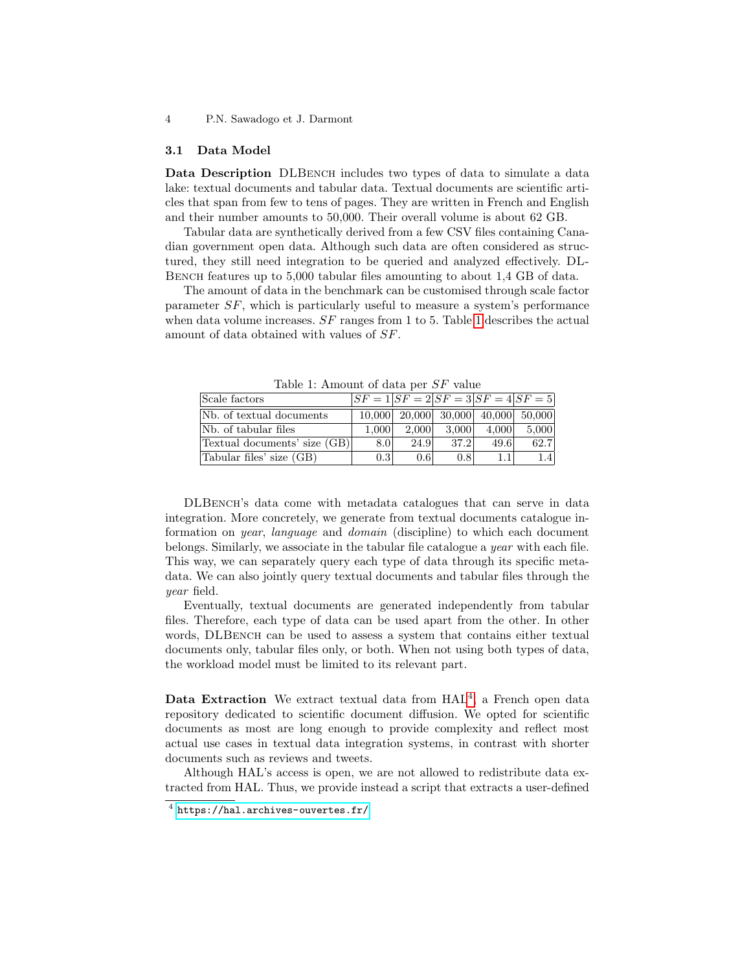#### <span id="page-3-2"></span>3.1 Data Model

Data Description DLBENCH includes two types of data to simulate a data lake: textual documents and tabular data. Textual documents are scientific articles that span from few to tens of pages. They are written in French and English and their number amounts to 50,000. Their overall volume is about 62 GB.

Tabular data are synthetically derived from a few CSV files containing Canadian government open data. Although such data are often considered as structured, they still need integration to be queried and analyzed effectively. DL-BENCH features up to 5,000 tabular files amounting to about 1,4 GB of data.

The amount of data in the benchmark can be customised through scale factor parameter SF, which is particularly useful to measure a system's performance when data volume increases.  $SF$  ranges from [1](#page-3-0) to 5. Table 1 describes the actual amount of data obtained with values of SF.

<span id="page-3-0"></span>

| $\mu$ and $\mu$ , the same of data per $\rho I$ value |                  |                  |                  |                                        |       |  |
|-------------------------------------------------------|------------------|------------------|------------------|----------------------------------------|-------|--|
| Scale factors                                         |                  |                  |                  | $ SF = 1 SF = 2 SF = 3 SF = 4 SF = 5 $ |       |  |
| Nb. of textual documents                              |                  |                  |                  | $10,000$ 20,000 30,000 40,000 50,000   |       |  |
| Nb. of tabular files                                  | 1.000            | 2.000            | 3,000            | 4,000                                  | 5,000 |  |
| Textual documents' size (GB)                          | 8.0              | 24.9             | 37.2             | 49.6                                   | 62.7  |  |
| Tabular files' size (GB)                              | 0.3 <sub>1</sub> | 0.6 <sup>1</sup> | 0.8 <sup>1</sup> | 1.1'                                   | 1.4   |  |

Table 1: Amount of data per SF value

DLBench's data come with metadata catalogues that can serve in data integration. More concretely, we generate from textual documents catalogue information on year, language and domain (discipline) to which each document belongs. Similarly, we associate in the tabular file catalogue a year with each file. This way, we can separately query each type of data through its specific metadata. We can also jointly query textual documents and tabular files through the year field.

Eventually, textual documents are generated independently from tabular files. Therefore, each type of data can be used apart from the other. In other words, DLBENCH can be used to assess a system that contains either textual documents only, tabular files only, or both. When not using both types of data, the workload model must be limited to its relevant part.

Data Extraction We extract textual data from  $HAL<sup>4</sup>$  $HAL<sup>4</sup>$  $HAL<sup>4</sup>$ , a French open data repository dedicated to scientific document diffusion. We opted for scientific documents as most are long enough to provide complexity and reflect most actual use cases in textual data integration systems, in contrast with shorter documents such as reviews and tweets.

Although HAL's access is open, we are not allowed to redistribute data extracted from HAL. Thus, we provide instead a script that extracts a user-defined

<span id="page-3-1"></span> $^4$  <https://hal.archives-ouvertes.fr/>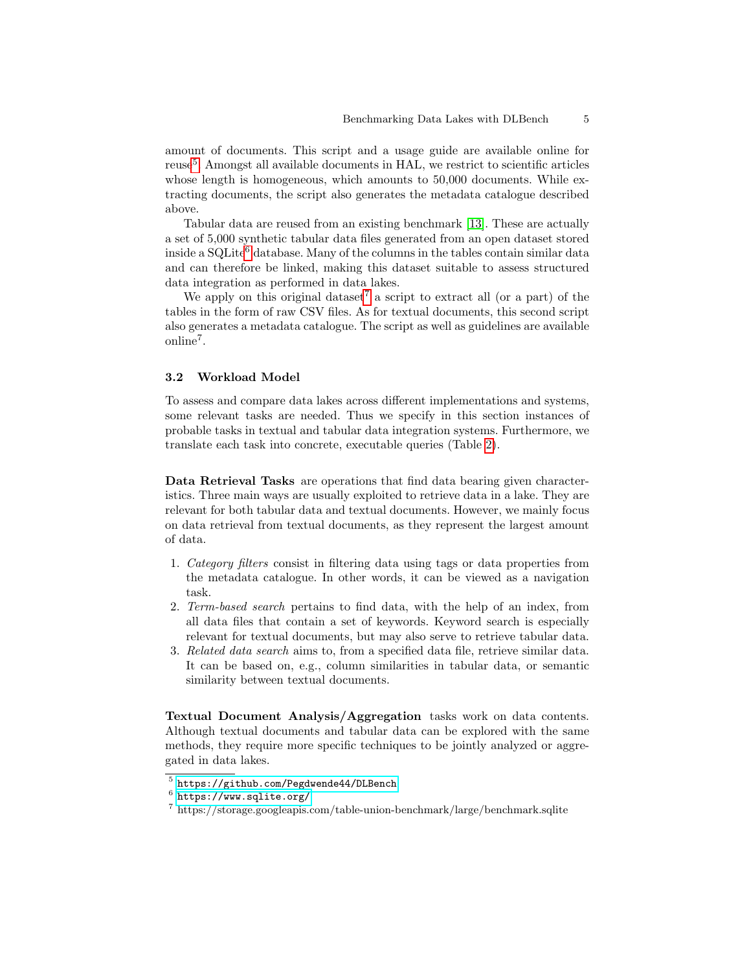amount of documents. This script and a usage guide are available online for reuse<sup>[5](#page-4-0)</sup>. Amongst all available documents in HAL, we restrict to scientific articles whose length is homogeneous, which amounts to 50,000 documents. While extracting documents, the script also generates the metadata catalogue described above.

Tabular data are reused from an existing benchmark [\[13\]](#page-11-10). These are actually a set of 5,000 synthetic tabular data files generated from an open dataset stored inside a SQLite<sup>[6](#page-4-1)</sup> database. Many of the columns in the tables contain similar data and can therefore be linked, making this dataset suitable to assess structured data integration as performed in data lakes.

We apply on this original dataset<sup>[7](#page-4-2)</sup> a script to extract all (or a part) of the tables in the form of raw CSV files. As for textual documents, this second script also generates a metadata catalogue. The script as well as guidelines are available online<sup>7</sup> .

#### 3.2 Workload Model

To assess and compare data lakes across different implementations and systems, some relevant tasks are needed. Thus we specify in this section instances of probable tasks in textual and tabular data integration systems. Furthermore, we translate each task into concrete, executable queries (Table [2\)](#page-6-0).

Data Retrieval Tasks are operations that find data bearing given characteristics. Three main ways are usually exploited to retrieve data in a lake. They are relevant for both tabular data and textual documents. However, we mainly focus on data retrieval from textual documents, as they represent the largest amount of data.

- 1. Category filters consist in filtering data using tags or data properties from the metadata catalogue. In other words, it can be viewed as a navigation task.
- 2. Term-based search pertains to find data, with the help of an index, from all data files that contain a set of keywords. Keyword search is especially relevant for textual documents, but may also serve to retrieve tabular data.
- 3. Related data search aims to, from a specified data file, retrieve similar data. It can be based on, e.g., column similarities in tabular data, or semantic similarity between textual documents.

Textual Document Analysis/Aggregation tasks work on data contents. Although textual documents and tabular data can be explored with the same methods, they require more specific techniques to be jointly analyzed or aggregated in data lakes.

<span id="page-4-0"></span><sup>5</sup> <https://github.com/Pegdwende44/DLBench>

<span id="page-4-1"></span> $^6$  <https://www.sqlite.org/>

<span id="page-4-2"></span><sup>7</sup> https://storage.googleapis.com/table-union-benchmark/large/benchmark.sqlite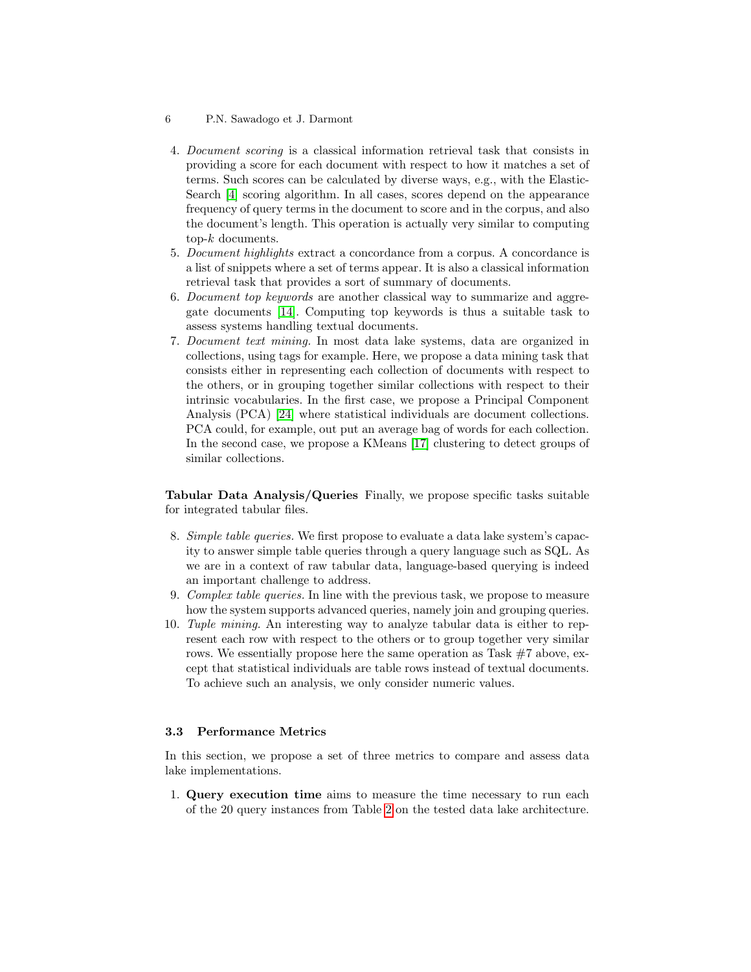- 4. Document scoring is a classical information retrieval task that consists in providing a score for each document with respect to how it matches a set of terms. Such scores can be calculated by diverse ways, e.g., with the Elastic-Search [\[4\]](#page-10-8) scoring algorithm. In all cases, scores depend on the appearance frequency of query terms in the document to score and in the corpus, and also the document's length. This operation is actually very similar to computing top-k documents.
- 5. Document highlights extract a concordance from a corpus. A concordance is a list of snippets where a set of terms appear. It is also a classical information retrieval task that provides a sort of summary of documents.
- 6. Document top keywords are another classical way to summarize and aggregate documents [\[14\]](#page-11-11). Computing top keywords is thus a suitable task to assess systems handling textual documents.
- 7. Document text mining. In most data lake systems, data are organized in collections, using tags for example. Here, we propose a data mining task that consists either in representing each collection of documents with respect to the others, or in grouping together similar collections with respect to their intrinsic vocabularies. In the first case, we propose a Principal Component Analysis (PCA) [\[24\]](#page-11-12) where statistical individuals are document collections. PCA could, for example, out put an average bag of words for each collection. In the second case, we propose a KMeans [\[17\]](#page-11-13) clustering to detect groups of similar collections.

Tabular Data Analysis/Queries Finally, we propose specific tasks suitable for integrated tabular files.

- 8. Simple table queries. We first propose to evaluate a data lake system's capacity to answer simple table queries through a query language such as SQL. As we are in a context of raw tabular data, language-based querying is indeed an important challenge to address.
- 9. Complex table queries. In line with the previous task, we propose to measure how the system supports advanced queries, namely join and grouping queries.
- 10. Tuple mining. An interesting way to analyze tabular data is either to represent each row with respect to the others or to group together very similar rows. We essentially propose here the same operation as Task #7 above, except that statistical individuals are table rows instead of textual documents. To achieve such an analysis, we only consider numeric values.

#### <span id="page-5-0"></span>3.3 Performance Metrics

In this section, we propose a set of three metrics to compare and assess data lake implementations.

1. Query execution time aims to measure the time necessary to run each of the 20 query instances from Table [2](#page-6-0) on the tested data lake architecture.

<sup>6</sup> P.N. Sawadogo et J. Darmont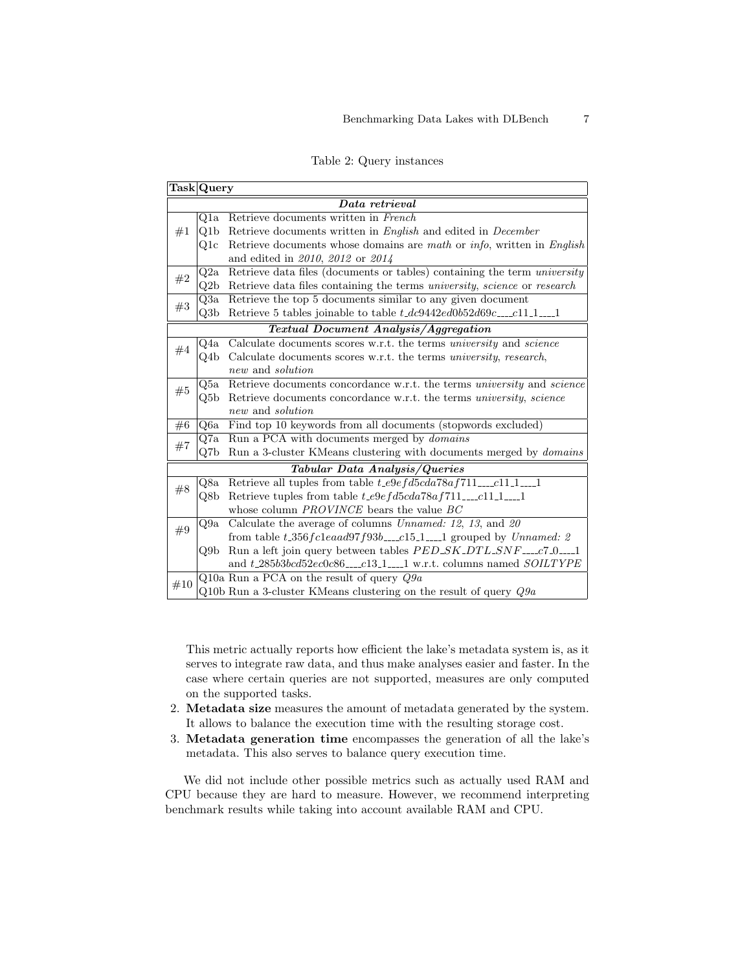|  | Table 2: Query instances |
|--|--------------------------|
|  |                          |

<span id="page-6-0"></span>

|                                              | Task Query                                                                 |                                                                                                              |  |
|----------------------------------------------|----------------------------------------------------------------------------|--------------------------------------------------------------------------------------------------------------|--|
|                                              |                                                                            | Data retrieval                                                                                               |  |
|                                              | Q1a                                                                        | Retrieve documents written in French                                                                         |  |
| #1                                           | Q1b                                                                        | Retrieve documents written in English and edited in December                                                 |  |
|                                              | Q1c                                                                        | Retrieve documents whose domains are math or info, written in English                                        |  |
|                                              |                                                                            | and edited in $2010, 2012$ or $2014$                                                                         |  |
|                                              | Q2a                                                                        | Retrieve data files (documents or tables) containing the term <i>university</i>                              |  |
| #2                                           | Q2b                                                                        | Retrieve data files containing the terms <i>university</i> , <i>science</i> or <i>research</i>               |  |
| #3                                           | Q3a<br>Retrieve the top 5 documents similar to any given document          |                                                                                                              |  |
|                                              | Q3b                                                                        | Retrieve 5 tables joinable to table $t_dc9442ed0b52d69cc11.11$                                               |  |
| <b>Textual Document Analysis/Aggregation</b> |                                                                            |                                                                                                              |  |
| #4                                           | Q4a                                                                        | Calculate documents scores w.r.t. the terms university and science                                           |  |
|                                              | $Q_4b$                                                                     | Calculate documents scores w.r.t. the terms <i>university</i> , <i>research</i> ,                            |  |
|                                              |                                                                            | new and <i>solution</i>                                                                                      |  |
| $\#5$                                        | Q5a                                                                        | Retrieve documents concordance w.r.t. the terms university and science                                       |  |
|                                              | Q5b<br>Retrieve documents concordance w.r.t. the terms university, science |                                                                                                              |  |
|                                              |                                                                            | new and <i>solution</i>                                                                                      |  |
| #6                                           | Q6a                                                                        | Find top 10 keywords from all documents (stopwords excluded)                                                 |  |
| #7                                           | Q7a                                                                        | Run a PCA with documents merged by <i>domains</i>                                                            |  |
|                                              | Q7b                                                                        | Run a 3-cluster KMeans clustering with documents merged by <i>domains</i>                                    |  |
| Tabular Data Analysis/Queries                |                                                                            |                                                                                                              |  |
| #8                                           | Q8a                                                                        | Retrieve all tuples from table $t$ -e9e $fd5cda78af711$ ---c11-1---1                                         |  |
|                                              | Q8b                                                                        | Retrieve tuples from table t_e9efd5cda78af711___c11_1___1                                                    |  |
|                                              |                                                                            | whose column <i>PROVINCE</i> bears the value <i>BC</i>                                                       |  |
| #9                                           | Q9a                                                                        | Calculate the average of columns <i>Unnamed:</i> 12, 13, and 20                                              |  |
|                                              |                                                                            | from table $t$ -356 $fc1eaad97f93b$ <sub>----</sub> $c15$ -1 <sub>----</sub> 1 grouped by <i>Unnamed</i> : 2 |  |
|                                              | Q9b -                                                                      | Run a left join query between tables <i>PED_SK_DTL_SNF____c</i> 7_0____1                                     |  |
|                                              |                                                                            | and $t$ $\!285b3bcd52ec0c86\!\ldots\!c13\!.\!1\!.\!1\!.\!1$ w.r.t. columns named $SOLITYPE$                  |  |
| #10                                          |                                                                            | Q10a Run a PCA on the result of query $Q9a$                                                                  |  |
|                                              |                                                                            | Q10b Run a 3-cluster KMeans clustering on the result of query $Qga$                                          |  |

This metric actually reports how efficient the lake's metadata system is, as it serves to integrate raw data, and thus make analyses easier and faster. In the case where certain queries are not supported, measures are only computed on the supported tasks.

- 2. Metadata size measures the amount of metadata generated by the system. It allows to balance the execution time with the resulting storage cost.
- 3. Metadata generation time encompasses the generation of all the lake's metadata. This also serves to balance query execution time.

We did not include other possible metrics such as actually used RAM and CPU because they are hard to measure. However, we recommend interpreting benchmark results while taking into account available RAM and CPU.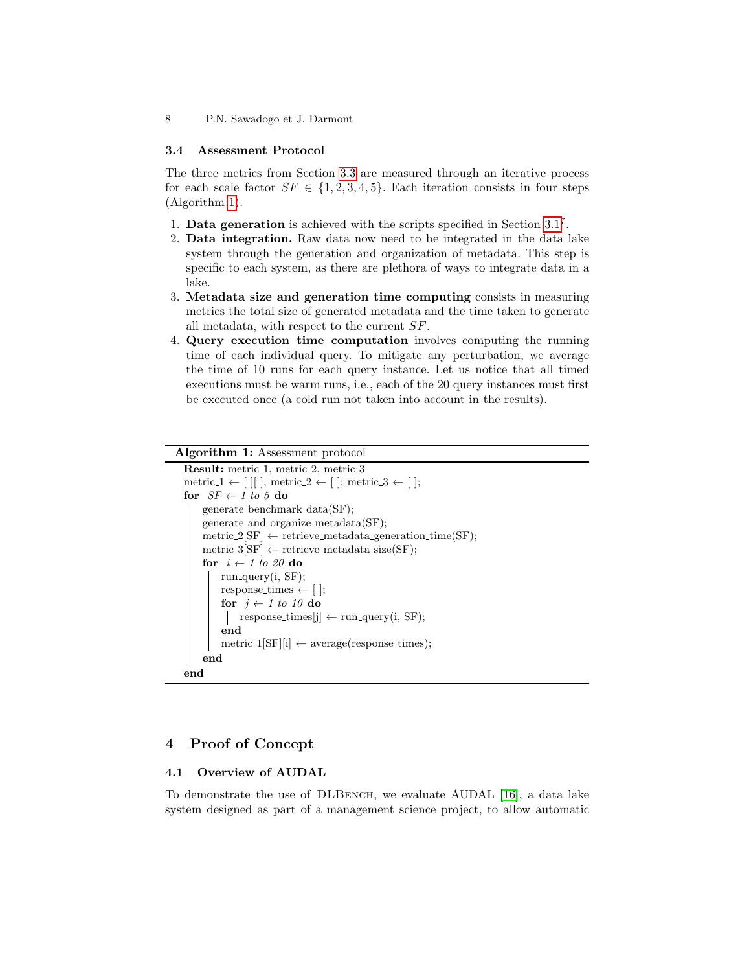#### 3.4 Assessment Protocol

The three metrics from Section [3.3](#page-5-0) are measured through an iterative process for each scale factor  $SF \in \{1, 2, 3, 4, 5\}$ . Each iteration consists in four steps (Algorithm [1\)](#page-7-1).

- 1. Data generation is achieved with the scripts specified in Section [3.1](#page-3-2)<sup>7</sup> .
- 2. Data integration. Raw data now need to be integrated in the data lake system through the generation and organization of metadata. This step is specific to each system, as there are plethora of ways to integrate data in a lake.
- 3. Metadata size and generation time computing consists in measuring metrics the total size of generated metadata and the time taken to generate all metadata, with respect to the current SF.
- 4. Query execution time computation involves computing the running time of each individual query. To mitigate any perturbation, we average the time of 10 runs for each query instance. Let us notice that all timed executions must be warm runs, i.e., each of the 20 query instances must first be executed once (a cold run not taken into account in the results).

## Algorithm 1: Assessment protocol

```
Result: metric<sub>-1</sub>, metric<sub>-2</sub>, metric<sub>-3</sub>
metric 1 \leftarrow [ || ]; metric 2 \leftarrow [ ]; metric 3 \leftarrow [ ];
for SF \leftarrow 1 to 5 do
    generate benchmark data(SF);
     generate and organize metadata(SF);
     metric_2[SF] \leftarrow retrieve_metadata_generation_time(SF);
     \text{metric.3} [\text{SF}] \gets \text{retrieve\_metadata.size}(\text{SF});for i \leftarrow 1 to 20 do
         run_query(i, SF);response_times \leftarrow [ ];
         for j \leftarrow 1 to 10 do
             respose\_times[j] \leftarrow run\_query(i, SF);end
         metric_1[SF][i] \leftarrow average(respose_time);end
end
```
## <span id="page-7-1"></span><span id="page-7-0"></span>4 Proof of Concept

## 4.1 Overview of AUDAL

To demonstrate the use of DLBENCH, we evaluate AUDAL [\[16\]](#page-11-14), a data lake system designed as part of a management science project, to allow automatic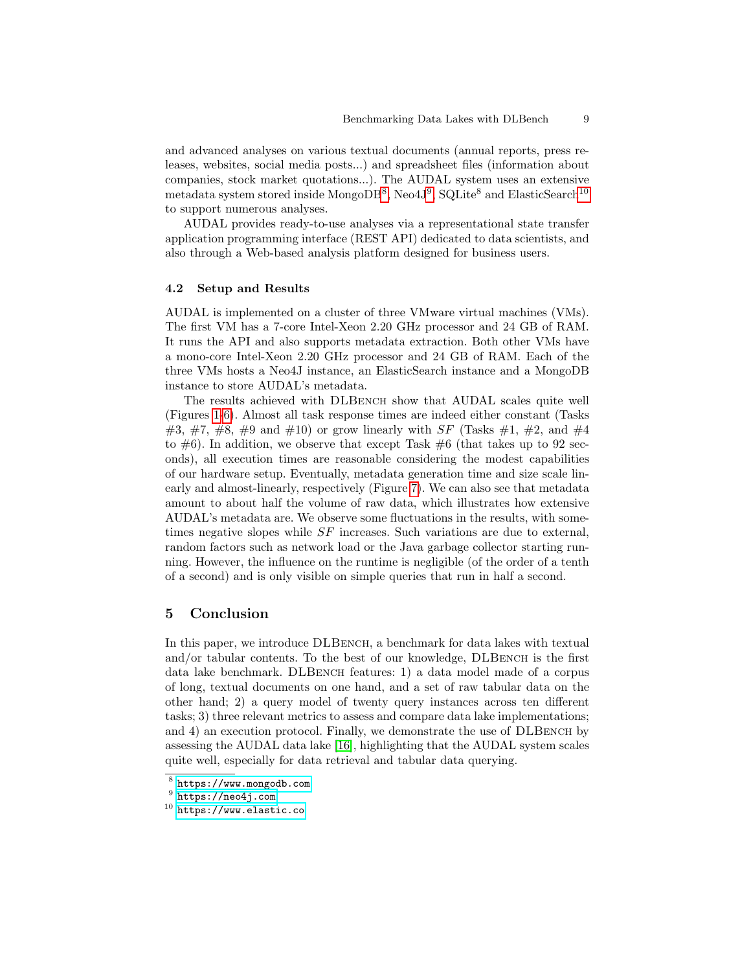and advanced analyses on various textual documents (annual reports, press releases, websites, social media posts...) and spreadsheet files (information about companies, stock market quotations...). The AUDAL system uses an extensive metadata system stored inside Mongo $DB^8$  $DB^8$ , Neo $4J^9$  $4J^9$ , SQLite<sup>8</sup> and ElasticSearch<sup>[10](#page-8-3)</sup> to support numerous analyses.

AUDAL provides ready-to-use analyses via a representational state transfer application programming interface (REST API) dedicated to data scientists, and also through a Web-based analysis platform designed for business users.

#### 4.2 Setup and Results

AUDAL is implemented on a cluster of three VMware virtual machines (VMs). The first VM has a 7-core Intel-Xeon 2.20 GHz processor and 24 GB of RAM. It runs the API and also supports metadata extraction. Both other VMs have a mono-core Intel-Xeon 2.20 GHz processor and 24 GB of RAM. Each of the three VMs hosts a Neo4J instance, an ElasticSearch instance and a MongoDB instance to store AUDAL's metadata.

The results achieved with DLBENCH show that AUDAL scales quite well (Figures [1-6\)](#page-9-1). Almost all task response times are indeed either constant (Tasks #3, #7, #8, #9 and #10) or grow linearly with SF (Tasks #1, #2, and #4 to  $\#6$ ). In addition, we observe that except Task  $\#6$  (that takes up to 92 seconds), all execution times are reasonable considering the modest capabilities of our hardware setup. Eventually, metadata generation time and size scale linearly and almost-linearly, respectively (Figure [7\)](#page-10-9). We can also see that metadata amount to about half the volume of raw data, which illustrates how extensive AUDAL's metadata are. We observe some fluctuations in the results, with sometimes negative slopes while SF increases. Such variations are due to external, random factors such as network load or the Java garbage collector starting running. However, the influence on the runtime is negligible (of the order of a tenth of a second) and is only visible on simple queries that run in half a second.

## <span id="page-8-0"></span>5 Conclusion

In this paper, we introduce DLBENCH, a benchmark for data lakes with textual and/or tabular contents. To the best of our knowledge, DLBENCH is the first data lake benchmark. DLBench features: 1) a data model made of a corpus of long, textual documents on one hand, and a set of raw tabular data on the other hand; 2) a query model of twenty query instances across ten different tasks; 3) three relevant metrics to assess and compare data lake implementations; and 4) an execution protocol. Finally, we demonstrate the use of DLBENCH by assessing the AUDAL data lake [\[16\]](#page-11-14), highlighting that the AUDAL system scales quite well, especially for data retrieval and tabular data querying.

<span id="page-8-1"></span><sup>8</sup> <https://www.mongodb.com>

<span id="page-8-2"></span> $^9$  <https://neo4j.com>

<span id="page-8-3"></span> $10$  <https://www.elastic.co>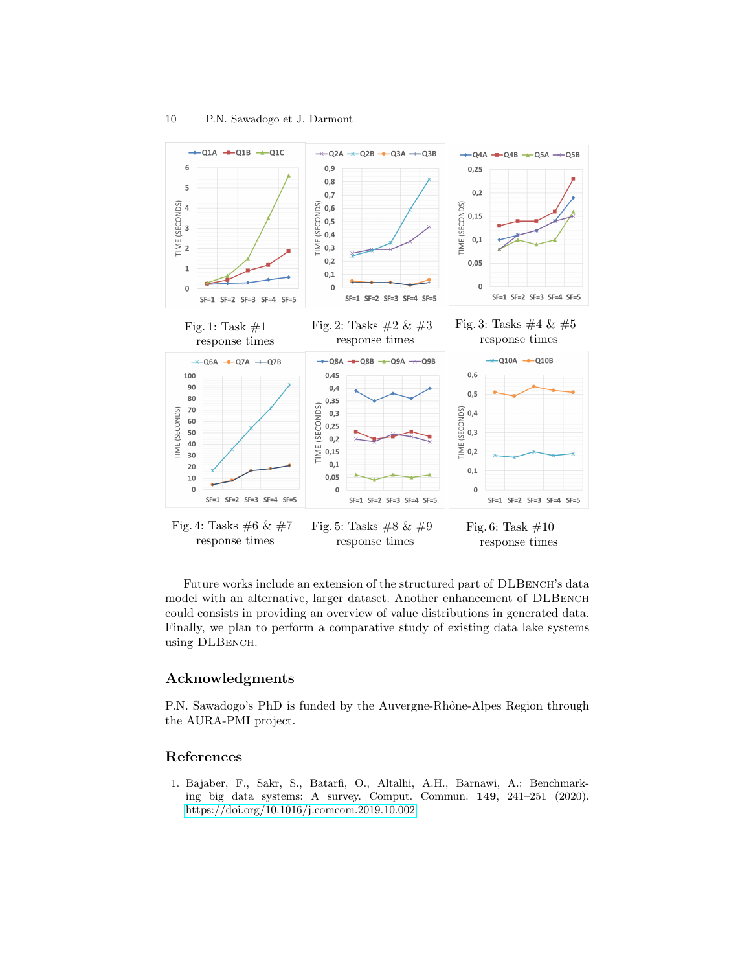<span id="page-9-1"></span>

Future works include an extension of the structured part of DLBENCH's data model with an alternative, larger dataset. Another enhancement of DLBench could consists in providing an overview of value distributions in generated data. Finally, we plan to perform a comparative study of existing data lake systems using DLBench.

## Acknowledgments

P.N. Sawadogo's PhD is funded by the Auvergne-Rhône-Alpes Region through the AURA-PMI project.

## References

<span id="page-9-0"></span>1. Bajaber, F., Sakr, S., Batarfi, O., Altalhi, A.H., Barnawi, A.: Benchmarking big data systems: A survey. Comput. Commun. 149, 241–251 (2020). <https://doi.org/10.1016/j.comcom.2019.10.002>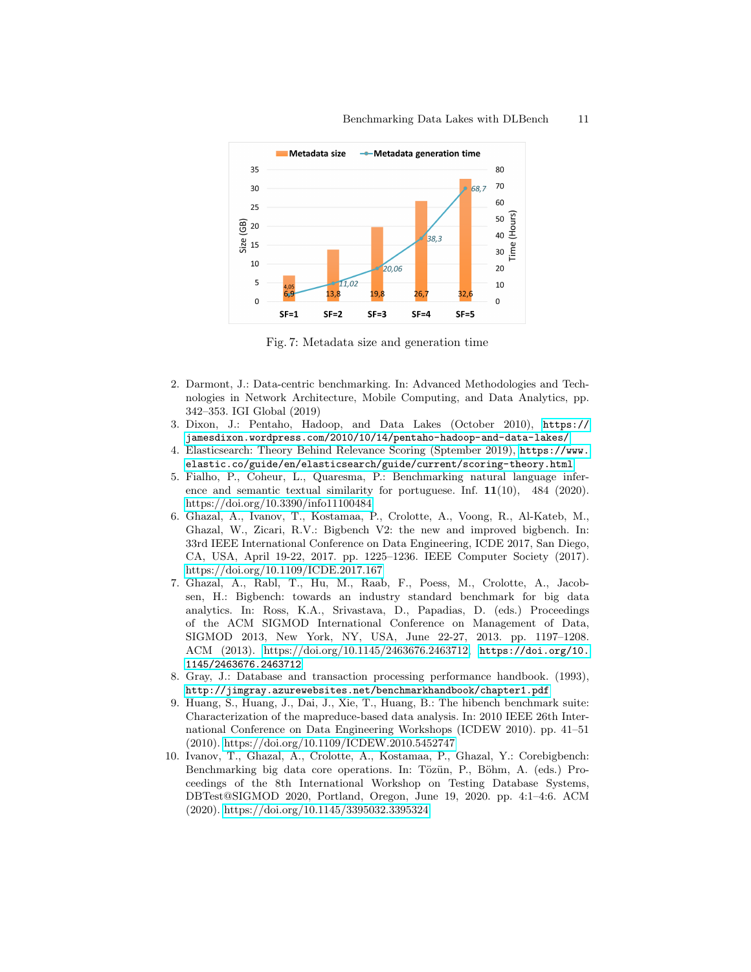<span id="page-10-9"></span>

Fig. 7: Metadata size and generation time

- <span id="page-10-1"></span>2. Darmont, J.: Data-centric benchmarking. In: Advanced Methodologies and Technologies in Network Architecture, Mobile Computing, and Data Analytics, pp. 342–353. IGI Global (2019)
- <span id="page-10-0"></span>3. Dixon, J.: Pentaho, Hadoop, and Data Lakes (October 2010), [https://](https://jamesdixon.wordpress.com/2010/10/14/pentaho-hadoop-and-data-lakes/) [jamesdixon.wordpress.com/2010/10/14/pentaho-hadoop-and-data-lakes/](https://jamesdixon.wordpress.com/2010/10/14/pentaho-hadoop-and-data-lakes/)
- <span id="page-10-8"></span>4. Elasticsearch: Theory Behind Relevance Scoring (Sptember 2019), [https://www.](https://www.elastic.co/guide/en/elasticsearch/guide/current/scoring-theory.html) [elastic.co/guide/en/elasticsearch/guide/current/scoring-theory.html](https://www.elastic.co/guide/en/elasticsearch/guide/current/scoring-theory.html)
- <span id="page-10-7"></span>5. Fialho, P., Coheur, L., Quaresma, P.: Benchmarking natural language inference and semantic textual similarity for portuguese. Inf.  $11(10)$ , 484 (2020). <https://doi.org/10.3390/info11100484>
- <span id="page-10-4"></span>6. Ghazal, A., Ivanov, T., Kostamaa, P., Crolotte, A., Voong, R., Al-Kateb, M., Ghazal, W., Zicari, R.V.: Bigbench V2: the new and improved bigbench. In: 33rd IEEE International Conference on Data Engineering, ICDE 2017, San Diego, CA, USA, April 19-22, 2017. pp. 1225–1236. IEEE Computer Society (2017). <https://doi.org/10.1109/ICDE.2017.167>
- <span id="page-10-3"></span>7. Ghazal, A., Rabl, T., Hu, M., Raab, F., Poess, M., Crolotte, A., Jacobsen, H.: Bigbench: towards an industry standard benchmark for big data analytics. In: Ross, K.A., Srivastava, D., Papadias, D. (eds.) Proceedings of the ACM SIGMOD International Conference on Management of Data, SIGMOD 2013, New York, NY, USA, June 22-27, 2013. pp. 1197–1208. ACM (2013). [https://doi.org/10.1145/2463676.2463712,](https://doi.org/10.1145/2463676.2463712) [https://doi.org/10.](https://doi.org/10.1145/2463676.2463712) [1145/2463676.2463712](https://doi.org/10.1145/2463676.2463712)
- <span id="page-10-2"></span>8. Gray, J.: Database and transaction processing performance handbook. (1993), <http://jimgray.azurewebsites.net/benchmarkhandbook/chapter1.pdf>
- <span id="page-10-6"></span>9. Huang, S., Huang, J., Dai, J., Xie, T., Huang, B.: The hibench benchmark suite: Characterization of the mapreduce-based data analysis. In: 2010 IEEE 26th International Conference on Data Engineering Workshops (ICDEW 2010). pp. 41–51 (2010).<https://doi.org/10.1109/ICDEW.2010.5452747>
- <span id="page-10-5"></span>10. Ivanov, T., Ghazal, A., Crolotte, A., Kostamaa, P., Ghazal, Y.: Corebigbench: Benchmarking big data core operations. In: Tözün, P., Böhm, A. (eds.) Proceedings of the 8th International Workshop on Testing Database Systems, DBTest@SIGMOD 2020, Portland, Oregon, June 19, 2020. pp. 4:1–4:6. ACM (2020).<https://doi.org/10.1145/3395032.3395324>